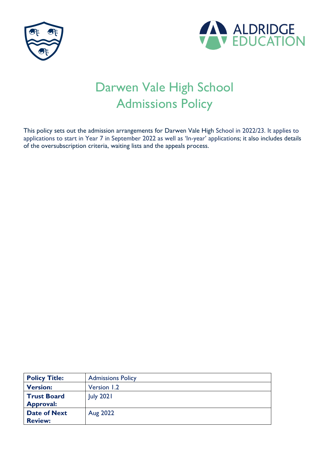



# Darwen Vale High School Admissions Policy

This policy sets out the admission arrangements for Darwen Vale High School in 2022/23. It applies to applications to start in Year 7 in September 2022 as well as 'In-year' applications; it also includes details of the oversubscription criteria, waiting lists and the appeals process.

| <b>Policy Title:</b>                   | <b>Admissions Policy</b> |
|----------------------------------------|--------------------------|
| <b>Version:</b>                        | Version 1.2              |
| <b>Trust Board</b><br><b>Approval:</b> | <b>July 2021</b>         |
| <b>Date of Next</b><br><b>Review:</b>  | Aug 2022                 |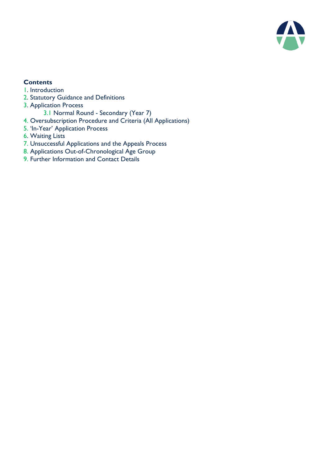

# **Contents**

- 1. Introduction
- 2. Statutory Guidance and Definitions
- 3. Application Process
	- 3.1 Normal Round Secondary (Year 7)
- 4. Oversubscription Procedure and Criteria (All Applications)
- 5. 'In-Year' Application Process
- 6. Waiting Lists
- 7. Unsuccessful Applications and the Appeals Process
- 8. Applications Out-of-Chronological Age Group
- 9. Further Information and Contact Details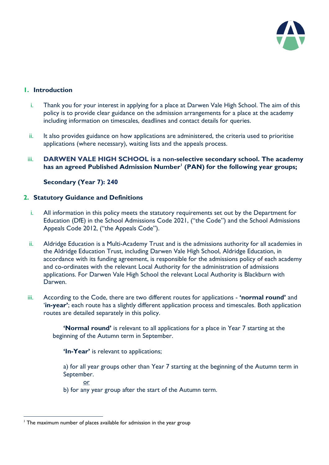

## **1. Introduction**

- i. Thank you for your interest in applying for a place at Darwen Vale High School. The aim of this policy is to provide clear guidance on the admission arrangements for a place at the academy including information on timescales, deadlines and contact details for queries.
- ii. It also provides guidance on how applications are administered, the criteria used to prioritise applications (where necessary), waiting lists and the appeals process.

#### iii. **DARWEN VALE HIGH SCHOOL is a non-selective secondary school. The academy has an agreed Published Admission Number<sup>1</sup> (PAN) for the following year groups;**

## **Secondary (Year 7): 240**

#### **2. Statutory Guidance and Definitions**

- i. All information in this policy meets the statutory requirements set out by the Department for Education (DfE) in the School Admissions Code 2021, ("the Code") and the School Admissions Appeals Code 2012, ("the Appeals Code").
- ii. Aldridge Education is a Multi-Academy Trust and is the admissions authority for all academies in the Aldridge Education Trust, including Darwen Vale High School, Aldridge Education, in accordance with its funding agreement, is responsible for the admissions policy of each academy and co-ordinates with the relevant Local Authority for the administration of admissions applications. For Darwen Vale High School the relevant Local Authority is Blackburn with Darwen.
- iii. According to the Code, there are two different routes for applications **'normal round'** and '**in-year'**; each route has a slightly different application process and timescales. Both application routes are detailed separately in this policy.

**'Normal round'** is relevant to all applications for a place in Year 7 starting at the beginning of the Autumn term in September.

**'In-Year'** is relevant to applications;

a) for all year groups other than Year 7 starting at the beginning of the Autumn term in September.

or

 $\overline{a}$ 

b) for any year group after the start of the Autumn term.

<sup>&</sup>lt;sup>1</sup> The maximum number of places available for admission in the year group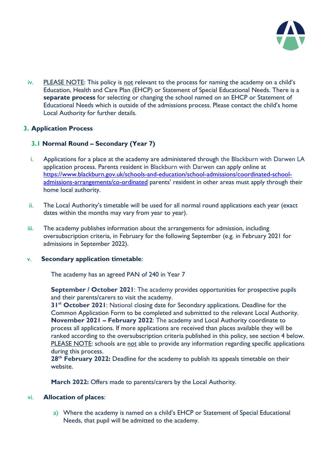

iv. PLEASE NOTE: This policy is not relevant to the process for naming the academy on a child's Education, Health and Care Plan (EHCP) or Statement of Special Educational Needs. There is a **separate process** for selecting or changing the school named on an EHCP or Statement of Educational Needs which is outside of the admissions process. Please contact the child's home Local Authority for further details.

## **3. Application Process**

# **3.1 Normal Round – Secondary (Year 7)**

- i. Applications for a place at the academy are administered through the Blackburn with Darwen LA application process. Parents resident in Blackburn with Darwen can apply online at [https://www.blackburn.gov.uk/schools-and-education/school-admissions/coordinated-school](https://www.blackburn.gov.uk/schools-and-education/school-admissions/coordinated-school-admissions-arrangements/co-ordinated)[admissions-arrangements/co-ordinated](https://www.blackburn.gov.uk/schools-and-education/school-admissions/coordinated-school-admissions-arrangements/co-ordinated) parents' resident in other areas must apply through their home local authority.
- ii. The Local Authority's timetable will be used for all normal round applications each year (exact dates within the months may vary from year to year).
- iii. The academy publishes information about the arrangements for admission, including oversubscription criteria, in February for the following September (e.g. in February 2021 for admissions in September 2022).

## v. **Secondary application timetable**:

The academy has an agreed PAN of 240 in Year 7

**September / October 2021**: The academy provides opportunities for prospective pupils and their parents/carers to visit the academy.

**31st October 2021**: National closing date for Secondary applications. Deadline for the Common Application Form to be completed and submitted to the relevant Local Authority. **November 2021 – February 2022**: The academy and Local Authority coordinate to process all applications. If more applications are received than places available they will be ranked according to the oversubscription criteria published in this policy, see section 4 below. PLEASE NOTE: schools are not able to provide any information regarding specific applications during this process.

**28th February 2022:** Deadline for the academy to publish its appeals timetable on their website.

**March 2022:** Offers made to parents/carers by the Local Authority.

## vi. **Allocation of places**:

a) Where the academy is named on a child's EHCP or Statement of Special Educational Needs, that pupil will be admitted to the academy.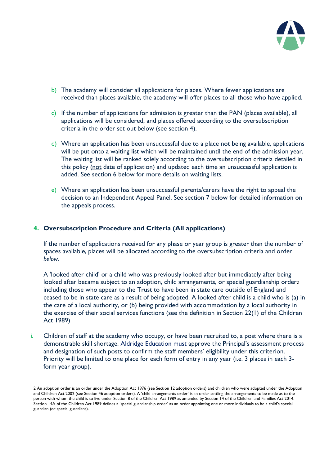

- b) The academy will consider all applications for places. Where fewer applications are received than places available, the academy will offer places to all those who have applied.
- c) If the number of applications for admission is greater than the PAN (places available), all applications will be considered, and places offered according to the oversubscription criteria in the order set out below (see section 4).
- d) Where an application has been unsuccessful due to a place not being available, applications will be put onto a waiting list which will be maintained until the end of the admission year. The waiting list will be ranked solely according to the oversubscription criteria detailed in this policy (not date of application) and updated each time an unsuccessful application is added. See section 6 below for more details on waiting lists.
- e) Where an application has been unsuccessful parents/carers have the right to appeal the decision to an Independent Appeal Panel. See section 7 below for detailed information on the appeals process.

#### **4. Oversubscription Procedure and Criteria (All applications)**

If the number of applications received for any phase or year group is greater than the number of spaces available, places will be allocated according to the oversubscription criteria and order *below*.

A 'looked after child' or a child who was previously looked after but immediately after being looked after became subject to an adoption, child arrangements, or special guardianship order2 including those who appear to the Trust to have been in state care outside of England and ceased to be in state care as a result of being adopted. A looked after child is a child who is (a) in the care of a local authority, or (b) being provided with accommodation by a local authority in the exercise of their social services functions (see the definition in Section 22(1) of the Children Act 1989)

i. Children of staff at the academy who occupy, or have been recruited to, a post where there is a demonstrable skill shortage. Aldridge Education must approve the Principal's assessment process and designation of such posts to confirm the staff members' eligibility under this criterion. Priority will be limited to one place for each form of entry in any year (i.e. 3 places in each 3form year group).

<sup>2</sup> An adoption order is an order under the Adoption Act 1976 (see Section 12 adoption orders) and children who were adopted under the Adoption and Children Act 2002 (see Section 46 adoption orders). A 'child arrangements order' is an order settling the arrangements to be made as to the person with whom the child is to live under Section 8 of the Children Act 1989 as amended by Section 14 of the Children and Families Act 2014. Section 14A of the Children Act 1989 defines a 'special guardianship order' as an order appointing one or more individuals to be a child's special guardian (or special guardians).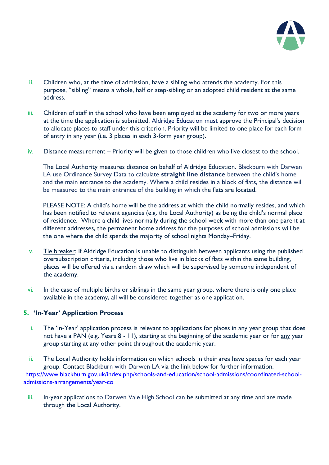

- ii. Children who, at the time of admission, have a sibling who attends the academy. For this purpose, "sibling" means a whole, half or step-sibling or an adopted child resident at the same address.
- iii. Children of staff in the school who have been employed at the academy for two or more years at the time the application is submitted. Aldridge Education must approve the Principal's decision to allocate places to staff under this criterion. Priority will be limited to one place for each form of entry in any year (i.e. 3 places in each 3-form year group).
- iv. Distance measurement Priority will be given to those children who live closest to the school.

The Local Authority measures distance on behalf of Aldridge Education. Blackburn with Darwen LA use Ordinance Survey Data to calculate **straight line distance** between the child's home and the main entrance to the academy. Where a child resides in a block of flats, the distance will be measured to the main entrance of the building in which the flats are located.

PLEASE NOTE: A child's home will be the address at which the child normally resides, and which has been notified to relevant agencies (e.g. the Local Authority) as being the child's normal place of residence. Where a child lives normally during the school week with more than one parent at different addresses, the permanent home address for the purposes of school admissions will be the one where the child spends the majority of school nights Monday–Friday.

- v. Tie breaker: If Aldridge Education is unable to distinguish between applicants using the published oversubscription criteria, including those who live in blocks of flats within the same building, places will be offered via a random draw which will be supervised by someone independent of the academy.
- vi. In the case of multiple births or siblings in the same year group, where there is only one place available in the academy, all will be considered together as one application.

## **5. 'In-Year' Application Process**

i. The 'In-Year' application process is relevant to applications for places in any year group that does not have a PAN (e.g. Years 8 - 11), starting at the beginning of the academic year or for any year group starting at any other point throughout the academic year.

ii. The Local Authority holds information on which schools in their area have spaces for each year group. Contact Blackburn with Darwen LA via the link below for further information. [https://www.blackburn.gov.uk/index.php/schools-and-education/school-admissions/coordinated-school](https://www.blackburn.gov.uk/index.php/schools-and-education/school-admissions/coordinated-school-admissions-arrangements/year-co)[admissions-arrangements/year-co](https://www.blackburn.gov.uk/index.php/schools-and-education/school-admissions/coordinated-school-admissions-arrangements/year-co)

iii. In-year applications to Darwen Vale High School can be submitted at any time and are made through the Local Authority.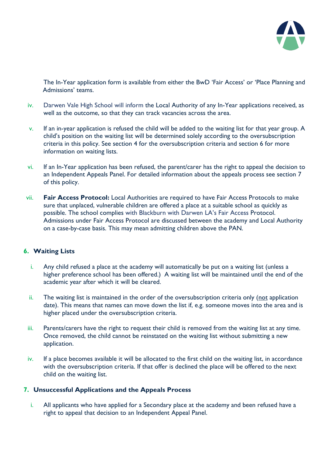

The In-Year application form is available from either the BwD 'Fair Access' or 'Place Planning and Admissions' teams.

- iv. Darwen Vale High School will inform the Local Authority of any In-Year applications received, as well as the outcome, so that they can track vacancies across the area.
- v. If an in-year application is refused the child will be added to the waiting list for that year group. A child's position on the waiting list will be determined solely according to the oversubscription criteria in this policy. See section 4 for the oversubscription criteria and section 6 for more information on waiting lists.
- vi. If an In-Year application has been refused, the parent/carer has the right to appeal the decision to an Independent Appeals Panel. For detailed information about the appeals process see section 7 of this policy.
- vii. **Fair Access Protocol:** Local Authorities are required to have Fair Access Protocols to make sure that unplaced, vulnerable children are offered a place at a suitable school as quickly as possible. The school complies with Blackburn with Darwen LA's Fair Access Protocol. Admissions under Fair Access Protocol are discussed between the academy and Local Authority on a case-by-case basis. This may mean admitting children above the PAN.

## **6. Waiting Lists**

- i. Any child refused a place at the academy will automatically be put on a waiting list (unless a higher preference school has been offered.) A waiting list will be maintained until the end of the academic year after which it will be cleared.
- ii. The waiting list is maintained in the order of the oversubscription criteria only (not application date). This means that names can move down the list if, e.g. someone moves into the area and is higher placed under the oversubscription criteria.
- iii. Parents/carers have the right to request their child is removed from the waiting list at any time. Once removed, the child cannot be reinstated on the waiting list without submitting a new application.
- iv. If a place becomes available it will be allocated to the first child on the waiting list, in accordance with the oversubscription criteria. If that offer is declined the place will be offered to the next child on the waiting list.

## **7. Unsuccessful Applications and the Appeals Process**

i. All applicants who have applied for a Secondary place at the academy and been refused have a right to appeal that decision to an Independent Appeal Panel.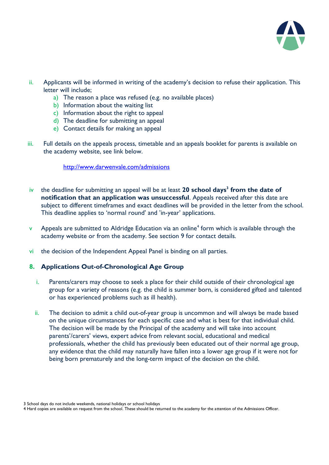

- ii. Applicants will be informed in writing of the academy's decision to refuse their application. This letter will include;
	- a) The reason a place was refused (e.g. no available places)
	- b) Information about the waiting list
	- c) Information about the right to appeal
	- d) The deadline for submitting an appeal
	- e) Contact details for making an appeal
- iii. Full details on the appeals process, timetable and an appeals booklet for parents is available on the academy website, see link below.

#### <http://www.darwenvale.com/admissions>

- iv the deadline for submitting an appeal will be at least **20 school days<sup>3</sup> from the date of notification that an application was unsuccessful**. Appeals received after this date are subject to different timeframes and exact deadlines will be provided in the letter from the school. This deadline applies to 'normal round' and 'in-year' applications.
- $\mathsf v$  Appeals are submitted to Aldridge Education via an online<sup>4</sup> form which is available through the academy website or from the academy. See section 9 for contact details.
- vi the decision of the Independent Appeal Panel is binding on all parties.

## **8. Applications Out-of-Chronological Age Group**

- i. Parents/carers may choose to seek a place for their child outside of their chronological age group for a variety of reasons (e.g. the child is summer born, is considered gifted and talented or has experienced problems such as ill health).
- ii. The decision to admit a child out-of-year group is uncommon and will always be made based on the unique circumstances for each specific case and what is best for that individual child. The decision will be made by the Principal of the academy and will take into account parents'/carers' views, expert advice from relevant social, educational and medical professionals, whether the child has previously been educated out of their normal age group, any evidence that the child may naturally have fallen into a lower age group if it were not for being born prematurely and the long-term impact of the decision on the child.

<sup>3</sup> School days do not include weekends, national holidays or school holidays

<sup>4</sup> Hard copies are available on request from the school. These should be returned to the academy for the attention of the Admissions Officer.